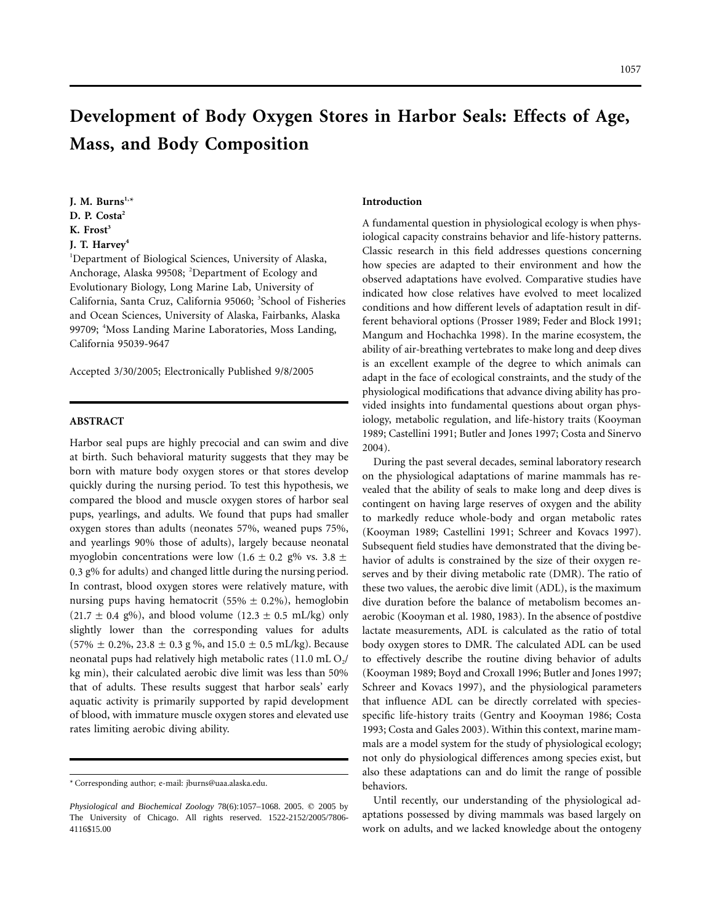# **Development of Body Oxygen Stores in Harbor Seals: Effects of Age, Mass, and Body Composition**

**J. M. Burns1,**\* **D. P. Costa2** K. Frost<sup>3</sup> **J. T. Harvey4**

<sup>1</sup>Department of Biological Sciences, University of Alaska, Anchorage, Alaska 99508; <sup>2</sup>Department of Ecology and Evolutionary Biology, Long Marine Lab, University of California, Santa Cruz, California 95060; <sup>3</sup>School of Fisheries and Ocean Sciences, University of Alaska, Fairbanks, Alaska 99709; <sup>4</sup>Moss Landing Marine Laboratories, Moss Landing, California 95039-9647

Accepted 3/30/2005; Electronically Published 9/8/2005

# **ABSTRACT**

Harbor seal pups are highly precocial and can swim and dive at birth. Such behavioral maturity suggests that they may be born with mature body oxygen stores or that stores develop quickly during the nursing period. To test this hypothesis, we compared the blood and muscle oxygen stores of harbor seal pups, yearlings, and adults. We found that pups had smaller oxygen stores than adults (neonates 57%, weaned pups 75%, and yearlings 90% those of adults), largely because neonatal myoglobin concentrations were low (1.6  $\pm$  0.2 g% vs. 3.8  $\pm$ 0.3 g% for adults) and changed little during the nursing period. In contrast, blood oxygen stores were relatively mature, with nursing pups having hematocrit ( $55\% \pm 0.2\%$ ), hemoglobin  $(21.7 \pm 0.4 \text{ g\%})$ , and blood volume  $(12.3 \pm 0.5 \text{ mL/kg})$  only slightly lower than the corresponding values for adults  $(57\% \pm 0.2\%, 23.8 \pm 0.3 \text{ g\%})$ , and  $15.0 \pm 0.5 \text{ mL/kg}$ . Because neonatal pups had relatively high metabolic rates  $(11.0 \text{ mL O}<sub>2</sub>/$ kg min), their calculated aerobic dive limit was less than 50% that of adults. These results suggest that harbor seals' early aquatic activity is primarily supported by rapid development of blood, with immature muscle oxygen stores and elevated use rates limiting aerobic diving ability.

## **Introduction**

A fundamental question in physiological ecology is when physiological capacity constrains behavior and life-history patterns. Classic research in this field addresses questions concerning how species are adapted to their environment and how the observed adaptations have evolved. Comparative studies have indicated how close relatives have evolved to meet localized conditions and how different levels of adaptation result in different behavioral options (Prosser 1989; Feder and Block 1991; Mangum and Hochachka 1998). In the marine ecosystem, the ability of air-breathing vertebrates to make long and deep dives is an excellent example of the degree to which animals can adapt in the face of ecological constraints, and the study of the physiological modifications that advance diving ability has provided insights into fundamental questions about organ physiology, metabolic regulation, and life-history traits (Kooyman 1989; Castellini 1991; Butler and Jones 1997; Costa and Sinervo 2004).

During the past several decades, seminal laboratory research on the physiological adaptations of marine mammals has revealed that the ability of seals to make long and deep dives is contingent on having large reserves of oxygen and the ability to markedly reduce whole-body and organ metabolic rates (Kooyman 1989; Castellini 1991; Schreer and Kovacs 1997). Subsequent field studies have demonstrated that the diving behavior of adults is constrained by the size of their oxygen reserves and by their diving metabolic rate (DMR). The ratio of these two values, the aerobic dive limit (ADL), is the maximum dive duration before the balance of metabolism becomes anaerobic (Kooyman et al. 1980, 1983). In the absence of postdive lactate measurements, ADL is calculated as the ratio of total body oxygen stores to DMR. The calculated ADL can be used to effectively describe the routine diving behavior of adults (Kooyman 1989; Boyd and Croxall 1996; Butler and Jones 1997; Schreer and Kovacs 1997), and the physiological parameters that influence ADL can be directly correlated with speciesspecific life-history traits (Gentry and Kooyman 1986; Costa 1993; Costa and Gales 2003). Within this context, marine mammals are a model system for the study of physiological ecology; not only do physiological differences among species exist, but also these adaptations can and do limit the range of possible behaviors.

Until recently, our understanding of the physiological adaptations possessed by diving mammals was based largely on work on adults, and we lacked knowledge about the ontogeny

<sup>\*</sup> Corresponding author; e-mail: jburns@uaa.alaska.edu.

Physiological and Biochemical Zoology 78(6):1057-1068. 2005. © 2005 by The University of Chicago. All rights reserved. 1522-2152/2005/7806- 4116\$15.00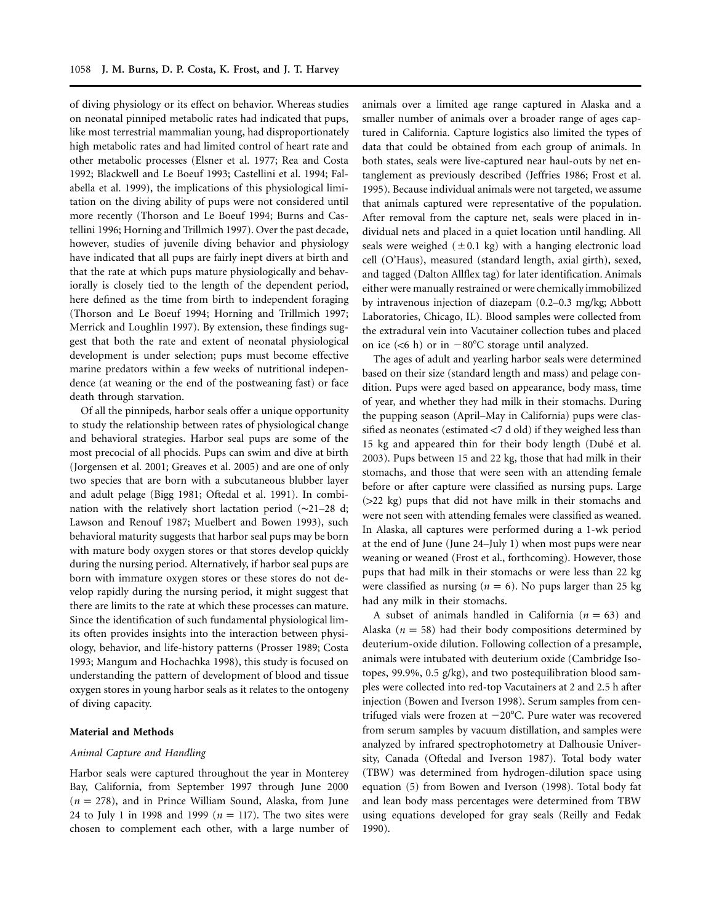of diving physiology or its effect on behavior. Whereas studies on neonatal pinniped metabolic rates had indicated that pups, like most terrestrial mammalian young, had disproportionately high metabolic rates and had limited control of heart rate and other metabolic processes (Elsner et al. 1977; Rea and Costa 1992; Blackwell and Le Boeuf 1993; Castellini et al. 1994; Falabella et al. 1999), the implications of this physiological limitation on the diving ability of pups were not considered until more recently (Thorson and Le Boeuf 1994; Burns and Castellini 1996; Horning and Trillmich 1997). Over the past decade, however, studies of juvenile diving behavior and physiology have indicated that all pups are fairly inept divers at birth and that the rate at which pups mature physiologically and behaviorally is closely tied to the length of the dependent period, here defined as the time from birth to independent foraging (Thorson and Le Boeuf 1994; Horning and Trillmich 1997; Merrick and Loughlin 1997). By extension, these findings suggest that both the rate and extent of neonatal physiological development is under selection; pups must become effective marine predators within a few weeks of nutritional independence (at weaning or the end of the postweaning fast) or face death through starvation.

Of all the pinnipeds, harbor seals offer a unique opportunity to study the relationship between rates of physiological change and behavioral strategies. Harbor seal pups are some of the most precocial of all phocids. Pups can swim and dive at birth (Jorgensen et al. 2001; Greaves et al. 2005) and are one of only two species that are born with a subcutaneous blubber layer and adult pelage (Bigg 1981; Oftedal et al. 1991). In combination with the relatively short lactation period (∼21–28 d; Lawson and Renouf 1987; Muelbert and Bowen 1993), such behavioral maturity suggests that harbor seal pups may be born with mature body oxygen stores or that stores develop quickly during the nursing period. Alternatively, if harbor seal pups are born with immature oxygen stores or these stores do not develop rapidly during the nursing period, it might suggest that there are limits to the rate at which these processes can mature. Since the identification of such fundamental physiological limits often provides insights into the interaction between physiology, behavior, and life-history patterns (Prosser 1989; Costa 1993; Mangum and Hochachka 1998), this study is focused on understanding the pattern of development of blood and tissue oxygen stores in young harbor seals as it relates to the ontogeny of diving capacity.

#### **Material and Methods**

## *Animal Capture and Handling*

Harbor seals were captured throughout the year in Monterey Bay, California, from September 1997 through June 2000  $(n = 278)$ , and in Prince William Sound, Alaska, from June 24 to July 1 in 1998 and 1999 ( $n = 117$ ). The two sites were chosen to complement each other, with a large number of animals over a limited age range captured in Alaska and a smaller number of animals over a broader range of ages captured in California. Capture logistics also limited the types of data that could be obtained from each group of animals. In both states, seals were live-captured near haul-outs by net entanglement as previously described (Jeffries 1986; Frost et al. 1995). Because individual animals were not targeted, we assume that animals captured were representative of the population. After removal from the capture net, seals were placed in individual nets and placed in a quiet location until handling. All seals were weighed ( $\pm$ 0.1 kg) with a hanging electronic load cell (O'Haus), measured (standard length, axial girth), sexed, and tagged (Dalton Allflex tag) for later identification. Animals either were manually restrained or were chemically immobilized by intravenous injection of diazepam (0.2–0.3 mg/kg; Abbott Laboratories, Chicago, IL). Blood samples were collected from the extradural vein into Vacutainer collection tubes and placed on ice  $(**6** h)$  or in  $-80^{\circ}$ C storage until analyzed.

The ages of adult and yearling harbor seals were determined based on their size (standard length and mass) and pelage condition. Pups were aged based on appearance, body mass, time of year, and whether they had milk in their stomachs. During the pupping season (April–May in California) pups were classified as neonates (estimated  $<$ 7 d old) if they weighed less than 15 kg and appeared thin for their body length (Dubé et al. 2003). Pups between 15 and 22 kg, those that had milk in their stomachs, and those that were seen with an attending female before or after capture were classified as nursing pups. Large  $(>=22 \text{ kg})$  pups that did not have milk in their stomachs and were not seen with attending females were classified as weaned. In Alaska, all captures were performed during a 1-wk period at the end of June (June 24–July 1) when most pups were near weaning or weaned (Frost et al., forthcoming). However, those pups that had milk in their stomachs or were less than 22 kg were classified as nursing ( $n = 6$ ). No pups larger than 25 kg had any milk in their stomachs.

A subset of animals handled in California ( $n = 63$ ) and Alaska ( $n = 58$ ) had their body compositions determined by deuterium-oxide dilution. Following collection of a presample, animals were intubated with deuterium oxide (Cambridge Isotopes, 99.9%, 0.5 g/kg), and two postequilibration blood samples were collected into red-top Vacutainers at 2 and 2.5 h after injection (Bowen and Iverson 1998). Serum samples from centrifuged vials were frozen at  $-20^{\circ}$ C. Pure water was recovered from serum samples by vacuum distillation, and samples were analyzed by infrared spectrophotometry at Dalhousie University, Canada (Oftedal and Iverson 1987). Total body water (TBW) was determined from hydrogen-dilution space using equation (5) from Bowen and Iverson (1998). Total body fat and lean body mass percentages were determined from TBW using equations developed for gray seals (Reilly and Fedak 1990).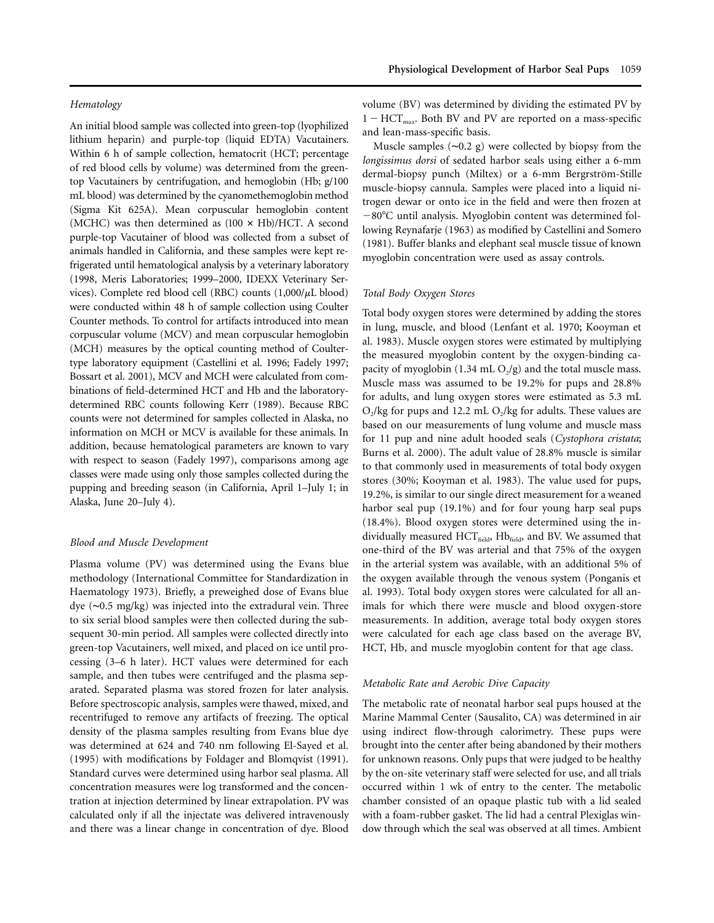# *Hematology*

An initial blood sample was collected into green-top (lyophilized lithium heparin) and purple-top (liquid EDTA) Vacutainers. Within 6 h of sample collection, hematocrit (HCT; percentage of red blood cells by volume) was determined from the greentop Vacutainers by centrifugation, and hemoglobin (Hb; g/100 mL blood) was determined by the cyanomethemoglobin method (Sigma Kit 625A). Mean corpuscular hemoglobin content (MCHC) was then determined as  $(100 \times Hb)/HCT$ . A second purple-top Vacutainer of blood was collected from a subset of animals handled in California, and these samples were kept refrigerated until hematological analysis by a veterinary laboratory (1998, Meris Laboratories; 1999–2000, IDEXX Veterinary Services). Complete red blood cell (RBC) counts  $(1,000/\mu L \text{ blood})$ were conducted within 48 h of sample collection using Coulter Counter methods. To control for artifacts introduced into mean corpuscular volume (MCV) and mean corpuscular hemoglobin (MCH) measures by the optical counting method of Coultertype laboratory equipment (Castellini et al. 1996; Fadely 1997; Bossart et al. 2001), MCV and MCH were calculated from combinations of field-determined HCT and Hb and the laboratorydetermined RBC counts following Kerr (1989). Because RBC counts were not determined for samples collected in Alaska, no information on MCH or MCV is available for these animals. In addition, because hematological parameters are known to vary with respect to season (Fadely 1997), comparisons among age classes were made using only those samples collected during the pupping and breeding season (in California, April 1–July 1; in Alaska, June 20–July 4).

## *Blood and Muscle Development*

Plasma volume (PV) was determined using the Evans blue methodology (International Committee for Standardization in Haematology 1973). Briefly, a preweighed dose of Evans blue dye (∼0.5 mg/kg) was injected into the extradural vein. Three to six serial blood samples were then collected during the subsequent 30-min period. All samples were collected directly into green-top Vacutainers, well mixed, and placed on ice until processing (3–6 h later). HCT values were determined for each sample, and then tubes were centrifuged and the plasma separated. Separated plasma was stored frozen for later analysis. Before spectroscopic analysis, samples were thawed, mixed, and recentrifuged to remove any artifacts of freezing. The optical density of the plasma samples resulting from Evans blue dye was determined at 624 and 740 nm following El-Sayed et al. (1995) with modifications by Foldager and Blomqvist (1991). Standard curves were determined using harbor seal plasma. All concentration measures were log transformed and the concentration at injection determined by linear extrapolation. PV was calculated only if all the injectate was delivered intravenously and there was a linear change in concentration of dye. Blood

volume (BV) was determined by dividing the estimated PV by  $1 - HCT<sub>max</sub>$ . Both BV and PV are reported on a mass-specific and lean-mass-specific basis.

Muscle samples (∼0.2 g) were collected by biopsy from the *longissimus dorsi* of sedated harbor seals using either a 6-mm dermal-biopsy punch (Miltex) or a 6-mm Bergrström-Stille muscle-biopsy cannula. Samples were placed into a liquid nitrogen dewar or onto ice in the field and were then frozen at  $-80^{\circ}$ C until analysis. Myoglobin content was determined following Reynafarje (1963) as modified by Castellini and Somero (1981). Buffer blanks and elephant seal muscle tissue of known myoglobin concentration were used as assay controls.

# *Total Body Oxygen Stores*

Total body oxygen stores were determined by adding the stores in lung, muscle, and blood (Lenfant et al. 1970; Kooyman et al. 1983). Muscle oxygen stores were estimated by multiplying the measured myoglobin content by the oxygen-binding capacity of myoglobin  $(1.34 \text{ mL } O<sub>2</sub>/g)$  and the total muscle mass. Muscle mass was assumed to be 19.2% for pups and 28.8% for adults, and lung oxygen stores were estimated as 5.3 mL  $O_2$ /kg for pups and 12.2 mL  $O_2$ /kg for adults. These values are based on our measurements of lung volume and muscle mass for 11 pup and nine adult hooded seals (*Cystophora cristata*; Burns et al. 2000). The adult value of 28.8% muscle is similar to that commonly used in measurements of total body oxygen stores (30%; Kooyman et al. 1983). The value used for pups, 19.2%, is similar to our single direct measurement for a weaned harbor seal pup (19.1%) and for four young harp seal pups (18.4%). Blood oxygen stores were determined using the individually measured  $HCT_{field}$ ,  $Hb_{field}$ , and BV. We assumed that one-third of the BV was arterial and that 75% of the oxygen in the arterial system was available, with an additional 5% of the oxygen available through the venous system (Ponganis et al. 1993). Total body oxygen stores were calculated for all animals for which there were muscle and blood oxygen-store measurements. In addition, average total body oxygen stores were calculated for each age class based on the average BV, HCT, Hb, and muscle myoglobin content for that age class.

#### *Metabolic Rate and Aerobic Dive Capacity*

The metabolic rate of neonatal harbor seal pups housed at the Marine Mammal Center (Sausalito, CA) was determined in air using indirect flow-through calorimetry. These pups were brought into the center after being abandoned by their mothers for unknown reasons. Only pups that were judged to be healthy by the on-site veterinary staff were selected for use, and all trials occurred within 1 wk of entry to the center. The metabolic chamber consisted of an opaque plastic tub with a lid sealed with a foam-rubber gasket. The lid had a central Plexiglas window through which the seal was observed at all times. Ambient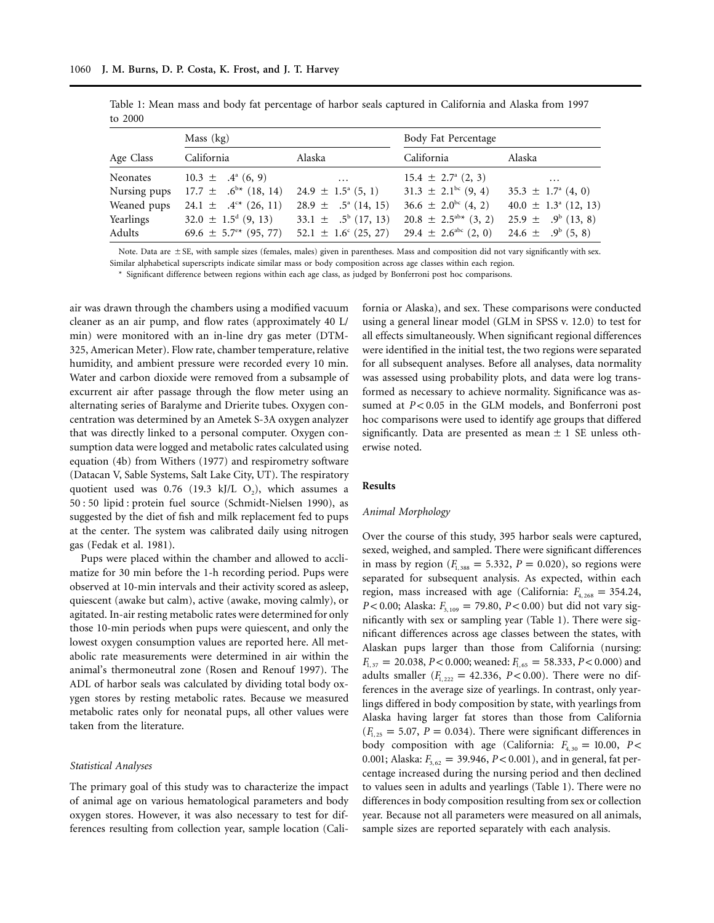| Age Class    | Mass (kg)                                                                  |                                | Body Fat Percentage                |                                 |  |  |
|--------------|----------------------------------------------------------------------------|--------------------------------|------------------------------------|---------------------------------|--|--|
|              | California                                                                 | Alaska                         | California                         | Alaska                          |  |  |
| Neonates     | $10.3 \pm .4^{\text{a}} (6, 9)$                                            | $\cdots$                       | $15.4 \pm 2.7^{\circ}$ (2, 3)      | $\cdots$                        |  |  |
| Nursing pups | $17.7 \pm .6^{b*}$ (18, 14)                                                | $24.9 \pm 1.5^{\circ}$ (5, 1)  | $31.3 \pm 2.1^{bc}$ (9, 4)         | $35.3 \pm 1.7^{\circ}$ (4, 0)   |  |  |
| Weaned pups  | 24.1 $\pm$ .4 <sup>c*</sup> (26, 11)                                       | $28.9 \pm .5^{\circ}$ (14, 15) | $36.6 \pm 2.0^{bc} (4, 2)$         | $40.0 \pm 1.3^{\circ}$ (12, 13) |  |  |
| Yearlings    | $32.0 \pm 1.5^{\text{d}} (9, 13)$                                          | $33.1 \pm .5^{b} (17, 13)$     | $20.8 \pm 2.5^{\text{ab}}(3, 2)$   | $25.9 \pm .9^{b} (13, 8)$       |  |  |
| Adults       | $69.6 \pm 5.7$ <sup>e*</sup> (95, 77) 52.1 $\pm$ 1.6 <sup>c</sup> (25, 27) |                                | $29.4 \pm 2.6^{\text{abc}}$ (2, 0) | $24.6 \pm .9^b(5, 8)$           |  |  |

Table 1: Mean mass and body fat percentage of harbor seals captured in California and Alaska from 1997 to 2000

Note. Data are ±SE, with sample sizes (females, males) given in parentheses. Mass and composition did not vary significantly with sex. Similar alphabetical superscripts indicate similar mass or body composition across age classes within each region.

\* Significant difference between regions within each age class, as judged by Bonferroni post hoc comparisons.

air was drawn through the chambers using a modified vacuum cleaner as an air pump, and flow rates (approximately 40 L/ min) were monitored with an in-line dry gas meter (DTM-325, American Meter). Flow rate, chamber temperature, relative humidity, and ambient pressure were recorded every 10 min. Water and carbon dioxide were removed from a subsample of excurrent air after passage through the flow meter using an alternating series of Baralyme and Drierite tubes. Oxygen concentration was determined by an Ametek S-3A oxygen analyzer that was directly linked to a personal computer. Oxygen consumption data were logged and metabolic rates calculated using equation (4b) from Withers (1977) and respirometry software (Datacan V, Sable Systems, Salt Lake City, UT). The respiratory quotient used was  $0.76$  (19.3 kJ/L O<sub>2</sub>), which assumes a 50 : 50 lipid : protein fuel source (Schmidt-Nielsen 1990), as suggested by the diet of fish and milk replacement fed to pups at the center. The system was calibrated daily using nitrogen gas (Fedak et al. 1981).

Pups were placed within the chamber and allowed to acclimatize for 30 min before the 1-h recording period. Pups were observed at 10-min intervals and their activity scored as asleep, quiescent (awake but calm), active (awake, moving calmly), or agitated. In-air resting metabolic rates were determined for only those 10-min periods when pups were quiescent, and only the lowest oxygen consumption values are reported here. All metabolic rate measurements were determined in air within the animal's thermoneutral zone (Rosen and Renouf 1997). The ADL of harbor seals was calculated by dividing total body oxygen stores by resting metabolic rates. Because we measured metabolic rates only for neonatal pups, all other values were taken from the literature.

## *Statistical Analyses*

The primary goal of this study was to characterize the impact of animal age on various hematological parameters and body oxygen stores. However, it was also necessary to test for differences resulting from collection year, sample location (California or Alaska), and sex. These comparisons were conducted using a general linear model (GLM in SPSS v. 12.0) to test for all effects simultaneously. When significant regional differences were identified in the initial test, the two regions were separated for all subsequent analyses. Before all analyses, data normality was assessed using probability plots, and data were log transformed as necessary to achieve normality. Significance was assumed at  $P < 0.05$  in the GLM models, and Bonferroni post hoc comparisons were used to identify age groups that differed significantly. Data are presented as mean  $\pm$  1 SE unless otherwise noted.

# **Results**

## *Animal Morphology*

Over the course of this study, 395 harbor seals were captured, sexed, weighed, and sampled. There were significant differences in mass by region ( $F_{1,388} = 5.332$ ,  $P = 0.020$ ), so regions were separated for subsequent analysis. As expected, within each region, mass increased with age (California:  $F_{4,268} = 354.24$ , *P* < 0.00; Alaska:  $F_{3,109}$  = 79.80, *P* < 0.00) but did not vary significantly with sex or sampling year (Table 1). There were significant differences across age classes between the states, with Alaskan pups larger than those from California (nursing:  $F_{1,37} = 20.038$ ,  $P < 0.000$ ; weaned:  $F_{1,65} = 58.333$ ,  $P < 0.000$ ) and adults smaller  $(F_{1, 222} = 42.336, P < 0.00)$ . There were no differences in the average size of yearlings. In contrast, only yearlings differed in body composition by state, with yearlings from Alaska having larger fat stores than those from California  $(F<sub>1.25</sub> = 5.07, P = 0.034)$ . There were significant differences in body composition with age (California:  $F_{4,30} = 10.00$ ,  $P <$ 0.001; Alaska:  $F_{3,62} = 39.946$ ,  $P < 0.001$ ), and in general, fat percentage increased during the nursing period and then declined to values seen in adults and yearlings (Table 1). There were no differences in body composition resulting from sex or collection year. Because not all parameters were measured on all animals, sample sizes are reported separately with each analysis.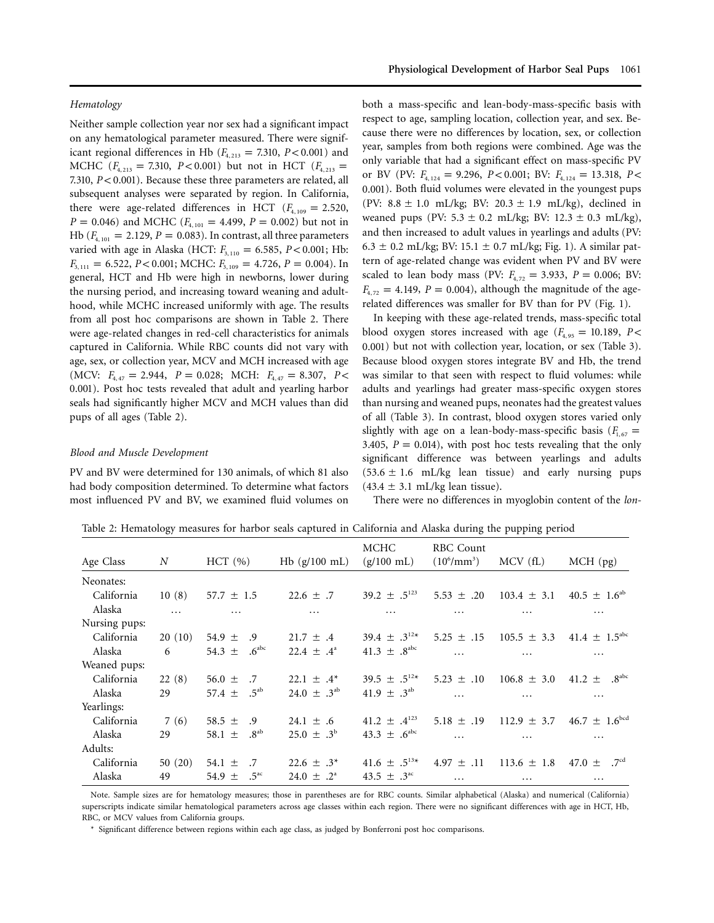# *Hematology*

Neither sample collection year nor sex had a significant impact on any hematological parameter measured. There were significant regional differences in Hb  $(F_{4, 213} = 7.310, P < 0.001)$  and MCHC ( $F_{4,213} = 7.310$ ,  $P < 0.001$ ) but not in HCT ( $F_{4,213} =$ 7.310,  $P < 0.001$ ). Because these three parameters are related, all subsequent analyses were separated by region. In California, there were age-related differences in HCT ( $F_{4,109} = 2.520$ ,  $P = 0.046$ ) and MCHC ( $F_{4, 101} = 4.499$ ,  $P = 0.002$ ) but not in Hb  $(F_{4, 101} = 2.129, P = 0.083)$ . In contrast, all three parameters varied with age in Alaska (HCT:  $F_{3,110} = 6.585$ ,  $P < 0.001$ ; Hb:  $F_{3, 111} = 6.522, P < 0.001$ ; MCHC:  $F_{3, 109} = 4.726, P = 0.004$ ). In general, HCT and Hb were high in newborns, lower during the nursing period, and increasing toward weaning and adulthood, while MCHC increased uniformly with age. The results from all post hoc comparisons are shown in Table 2. There were age-related changes in red-cell characteristics for animals captured in California. While RBC counts did not vary with age, sex, or collection year, MCV and MCH increased with age (MCV:  $F_{4,47} = 2.944$ ,  $P = 0.028$ ; MCH:  $F_{4,47} = 8.307$ ,  $P <$ 0.001). Post hoc tests revealed that adult and yearling harbor seals had significantly higher MCV and MCH values than did pups of all ages (Table 2).

## *Blood and Muscle Development*

PV and BV were determined for 130 animals, of which 81 also had body composition determined. To determine what factors most influenced PV and BV, we examined fluid volumes on both a mass-specific and lean-body-mass-specific basis with respect to age, sampling location, collection year, and sex. Because there were no differences by location, sex, or collection year, samples from both regions were combined. Age was the only variable that had a significant effect on mass-specific PV or BV (PV:  $F_{4,124} = 9.296$ ,  $P < 0.001$ ; BV:  $F_{4,124} = 13.318$ ,  $P <$ 0.001). Both fluid volumes were elevated in the youngest pups (PV:  $8.8 \pm 1.0$  mL/kg; BV:  $20.3 \pm 1.9$  mL/kg), declined in weaned pups (PV:  $5.3 \pm 0.2$  mL/kg; BV:  $12.3 \pm 0.3$  mL/kg), and then increased to adult values in yearlings and adults (PV:  $6.3 \pm 0.2$  mL/kg; BV: 15.1  $\pm$  0.7 mL/kg; Fig. 1). A similar pattern of age-related change was evident when PV and BV were scaled to lean body mass (PV:  $F_{4,72} = 3.933$ ,  $P = 0.006$ ; BV:  $F_{4,72} = 4.149, P = 0.004$ , although the magnitude of the agerelated differences was smaller for BV than for PV (Fig. 1).

In keeping with these age-related trends, mass-specific total blood oxygen stores increased with age  $(F_{4,95} = 10.189, P <$ 0.001) but not with collection year, location, or sex (Table 3). Because blood oxygen stores integrate BV and Hb, the trend was similar to that seen with respect to fluid volumes: while adults and yearlings had greater mass-specific oxygen stores than nursing and weaned pups, neonates had the greatest values of all (Table 3). In contrast, blood oxygen stores varied only slightly with age on a lean-body-mass-specific basis  $(F_{1,67}$  = 3.405,  $P = 0.014$ , with post hoc tests revealing that the only significant difference was between yearlings and adults  $(53.6 \pm 1.6 \text{ mL/kg}$  lean tissue) and early nursing pups  $(43.4 \pm 3.1 \text{ mL/kg}$  lean tissue).

There were no differences in myoglobin content of the *lon-*

| Age Class     | $\boldsymbol{N}$ | HCT(%)                          | $Hb$ (g/100 mL)       | MCHC<br>$(g/100 \text{ mL})$ | RBC Count<br>$(10^6/\text{mm}^3)$ | MCV(fL)         | MCH (pg)                      |
|---------------|------------------|---------------------------------|-----------------------|------------------------------|-----------------------------------|-----------------|-------------------------------|
| Neonates:     |                  |                                 |                       |                              |                                   |                 |                               |
| California    | 10(8)            | $57.7 \pm 1.5$                  | $22.6 \pm .7$         | $39.2 \pm .5^{123}$          | $5.53 \pm .20$                    | $103.4 \pm 3.1$ | $40.5 \pm 1.6^{\text{ab}}$    |
| Alaska        | $\cdots$         | .                               | $\cdots$              | $\cdots$                     | $\cdots$                          | $\cdots$        | $\cdots$                      |
| Nursing pups: |                  |                                 |                       |                              |                                   |                 |                               |
| California    | 20(10)           | 54.9 $\pm$<br>.9                | $21.7 \pm .4$         | 39.4 $\pm$ .3 <sup>12*</sup> | $5.25 \pm .15$                    | $105.5 \pm 3.3$ | 41.4 $\pm$ 1.5 <sup>abc</sup> |
| Alaska        | 6                | .6 <sup>abc</sup><br>54.3 $\pm$ | $22.4 \pm .4^{\circ}$ | 41.3 $\pm .8^{\text{abc}}$   | $\cdots$                          | $\cdots$        | $\cdots$                      |
| Weaned pups:  |                  |                                 |                       |                              |                                   |                 |                               |
| California    | 22(8)            | 56.0 $\pm$<br>$.7\phantom{0}$   | 22.1 $\pm$ .4*        | 39.5 $\pm$ .5 <sup>12*</sup> | $5.23 \pm .10$                    | $106.8 \pm 3.0$ | 41.2 $\pm$ .8 <sup>abc</sup>  |
| Alaska        | 29               | $.5^{ab}$<br>57.4 $\pm$         | $24.0 \pm .3^{ab}$    | 41.9 $\pm$ .3 <sup>ab</sup>  | $\cdots$                          | $\cdots$        | $\cdots$                      |
| Yearlings:    |                  |                                 |                       |                              |                                   |                 |                               |
| California    | 7(6)             | 58.5 $\pm$<br>.9                | 24.1 $\pm$ .6         | 41.2 $\pm$ .4 <sup>123</sup> | $5.18 \pm .19$                    | $112.9 \pm 3.7$ | $46.7 \pm 1.6^{\text{bcd}}$   |
| Alaska        | 29               | .8 <sup>ab</sup><br>58.1 $\pm$  | $25.0 \pm .3^b$       | 43.3 $\pm$ .6 <sup>abc</sup> | $\cdots$                          | $\cdots$        | $\cdots$                      |
| Adults:       |                  |                                 |                       |                              |                                   |                 |                               |
| California    | 50(20)           | 54.1 $\pm$<br>.7                | $22.6 \pm .3^*$       | 41.6 $\pm$ .5 <sup>13*</sup> | 4.97 $\pm$ .11                    | $113.6 \pm 1.8$ | 47.0 $\pm$ .7 <sup>cd</sup>   |
| Alaska        | 49               | .5 <sup>ac</sup><br>54.9 $\pm$  | $24.0 \pm .2^{\circ}$ | 43.5 $\pm$ .3 <sup>ac</sup>  | $\cdots$                          | $\cdots$        | $\cdots$                      |

Table 2: Hematology measures for harbor seals captured in California and Alaska during the pupping period

Note. Sample sizes are for hematology measures; those in parentheses are for RBC counts. Similar alphabetical (Alaska) and numerical (California) superscripts indicate similar hematological parameters across age classes within each region. There were no significant differences with age in HCT, Hb, RBC, or MCV values from California groups.

\* Significant difference between regions within each age class, as judged by Bonferroni post hoc comparisons.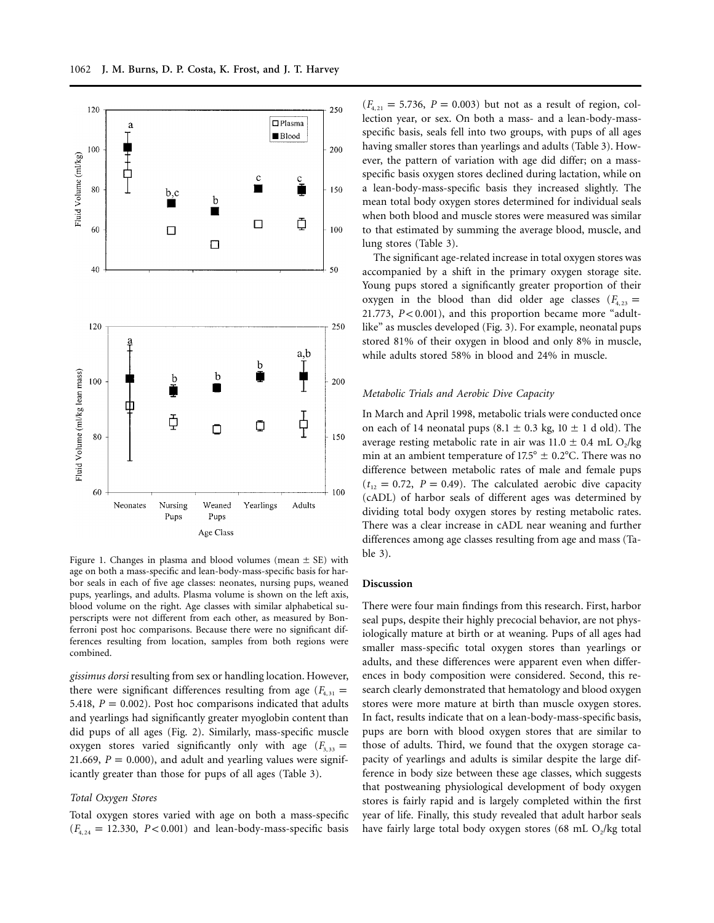

Figure 1. Changes in plasma and blood volumes (mean  $\pm$  SE) with age on both a mass-specific and lean-body-mass-specific basis for harbor seals in each of five age classes: neonates, nursing pups, weaned pups, yearlings, and adults. Plasma volume is shown on the left axis, blood volume on the right. Age classes with similar alphabetical superscripts were not different from each other, as measured by Bonferroni post hoc comparisons. Because there were no significant differences resulting from location, samples from both regions were combined.

*gissimus dorsi* resulting from sex or handling location. However, there were significant differences resulting from age  $(F_{4,31} =$ 5.418,  $P = 0.002$ ). Post hoc comparisons indicated that adults and yearlings had significantly greater myoglobin content than did pups of all ages (Fig. 2). Similarly, mass-specific muscle oxygen stores varied significantly only with age  $(F_{3,33} =$ 21.669,  $P = 0.000$ ), and adult and yearling values were significantly greater than those for pups of all ages (Table 3).

# *Total Oxygen Stores*

Total oxygen stores varied with age on both a mass-specific  $(F_{4, 24} = 12.330, P < 0.001)$  and lean-body-mass-specific basis

 $(F_{4, 21} = 5.736, P = 0.003)$  but not as a result of region, collection year, or sex. On both a mass- and a lean-body-massspecific basis, seals fell into two groups, with pups of all ages having smaller stores than yearlings and adults (Table 3). However, the pattern of variation with age did differ; on a massspecific basis oxygen stores declined during lactation, while on a lean-body-mass-specific basis they increased slightly. The mean total body oxygen stores determined for individual seals when both blood and muscle stores were measured was similar to that estimated by summing the average blood, muscle, and lung stores (Table 3).

The significant age-related increase in total oxygen stores was accompanied by a shift in the primary oxygen storage site. Young pups stored a significantly greater proportion of their oxygen in the blood than did older age classes  $(F_{4,23} =$ 21.773,  $P < 0.001$ ), and this proportion became more "adultlike" as muscles developed (Fig. 3). For example, neonatal pups stored 81% of their oxygen in blood and only 8% in muscle, while adults stored 58% in blood and 24% in muscle.

#### *Metabolic Trials and Aerobic Dive Capacity*

In March and April 1998, metabolic trials were conducted once on each of 14 neonatal pups (8.1  $\pm$  0.3 kg, 10  $\pm$  1 d old). The average resting metabolic rate in air was  $11.0 \pm 0.4$  mL O<sub>2</sub>/kg min at an ambient temperature of 17.5 $\degree$  ± 0.2 $\degree$ C. There was no difference between metabolic rates of male and female pups  $(t_{12} = 0.72, P = 0.49)$ . The calculated aerobic dive capacity (cADL) of harbor seals of different ages was determined by dividing total body oxygen stores by resting metabolic rates. There was a clear increase in cADL near weaning and further differences among age classes resulting from age and mass (Table 3).

#### **Discussion**

There were four main findings from this research. First, harbor seal pups, despite their highly precocial behavior, are not physiologically mature at birth or at weaning. Pups of all ages had smaller mass-specific total oxygen stores than yearlings or adults, and these differences were apparent even when differences in body composition were considered. Second, this research clearly demonstrated that hematology and blood oxygen stores were more mature at birth than muscle oxygen stores. In fact, results indicate that on a lean-body-mass-specific basis, pups are born with blood oxygen stores that are similar to those of adults. Third, we found that the oxygen storage capacity of yearlings and adults is similar despite the large difference in body size between these age classes, which suggests that postweaning physiological development of body oxygen stores is fairly rapid and is largely completed within the first year of life. Finally, this study revealed that adult harbor seals have fairly large total body oxygen stores (68 mL  $O_2$ /kg total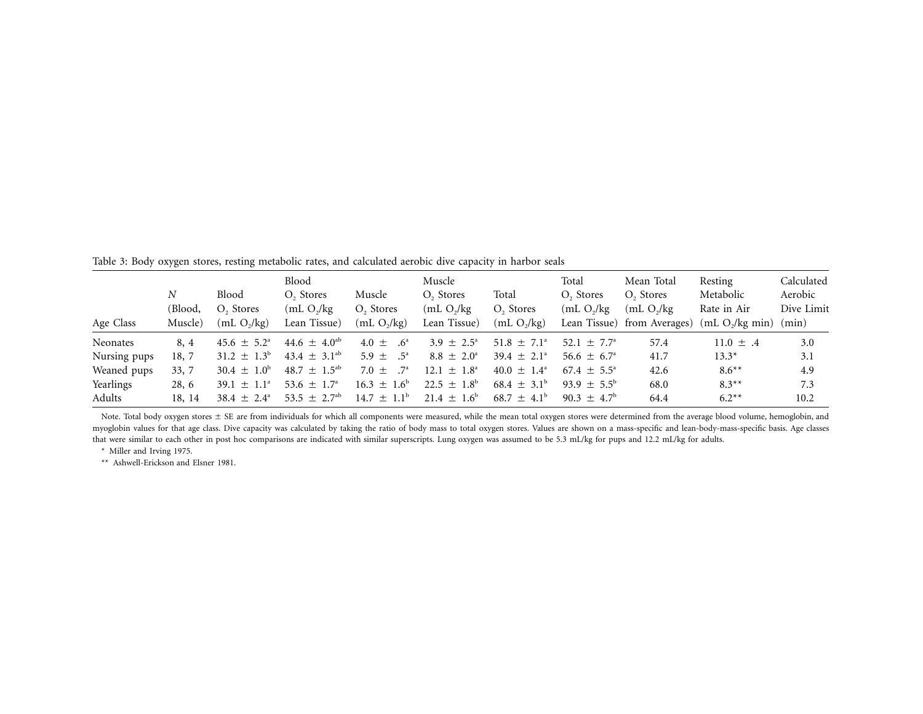Table 3: Body oxygen stores, resting metabolic rates, and calculated aerobic dive capacity in harbor seals

| Age Class    | Ν<br>(Blood,<br>Muscle) | Blood<br>O <sub>2</sub> Stores<br>mL O <sub>2</sub> /kg | Blood<br>O <sub>2</sub> Stores<br>mL O <sub>2</sub> /kg<br>Lean Tissue) | Muscle<br>O <sub>2</sub> Stores<br>mL O <sub>2</sub> /kg | Muscle<br>O <sub>2</sub> Stores<br>(mL O <sub>2</sub> /kg)<br>Lean Tissue) | Total<br>O <sub>2</sub> Stores<br>mL O <sub>2</sub> /kg | Total<br>O <sub>2</sub> Stores<br>(mL O <sub>2</sub> /kg) | Mean Total<br>O <sub>2</sub> Stores<br>(mL O <sub>2</sub> /kg)<br>Lean Tissue) from Averages) | Resting<br>Metabolic<br>Rate in Air<br>$mL O_2/kg min$ | Calculated<br>Aerobic<br>Dive Limit<br>(min) |
|--------------|-------------------------|---------------------------------------------------------|-------------------------------------------------------------------------|----------------------------------------------------------|----------------------------------------------------------------------------|---------------------------------------------------------|-----------------------------------------------------------|-----------------------------------------------------------------------------------------------|--------------------------------------------------------|----------------------------------------------|
| Neonates     | 8, 4                    | $45.6 \pm 5.2^{\circ}$                                  | 44.6 $\pm$ 4.0 <sup>ab</sup>                                            | 4.0 $\pm$<br>.6 <sup>a</sup>                             | $3.9 \pm 2.5^{\circ}$                                                      | $51.8 \pm 7.1^{\circ}$                                  | 52.1<br>$\pm 7.7^{\circ}$                                 | 57.4                                                                                          | $11.0 \pm .4$                                          | 3.0                                          |
| Nursing pups | 18, 7                   | $31.2 \pm 1.3^{\circ}$                                  | $43.4 \pm 3.1^{ab}$                                                     | $\overline{5}^a$<br>$5.9 \pm$                            | $8.8 \pm 2.0^{\circ}$                                                      | $39.4 \pm 2.1^{\circ}$                                  | $56.6 \pm 6.7^{\circ}$                                    | 41.7                                                                                          | $13.3*$                                                | 3.1                                          |
| Weaned pups  | 33, 7                   | $30.4 \pm 1.0^{\circ}$                                  | $48.7 \pm 1.5^{ab}$                                                     | $\overline{7}^a$<br>$7.0 \pm$                            | 12.1<br>$\pm$ 1.8 <sup>a</sup>                                             | $40.0 \pm 1.4^{\circ}$                                  | $67.4 \pm 5.5^{\circ}$                                    | 42.6                                                                                          | $8.6**$                                                | 4.9                                          |
| Yearlings    | 28, 6                   | $39.1 \pm 1.1^{\circ}$                                  | 53.6 $\pm$ 1.7 <sup>a</sup>                                             | $16.3 \pm 1.6^{\circ}$                                   | $22.5 \pm 1.8^{\circ}$                                                     | $68.4 \pm 3.1^{\circ}$                                  | 93.9 $\pm$ 5.5 <sup>b</sup>                               | 68.0                                                                                          | $8.3**$                                                | 7.3                                          |
| Adults       | 18, 14                  | $38.4 \pm 2.4^{\circ}$                                  | 53.5 $\pm$ 2.7 <sup>ab</sup>                                            | $14.7 \pm 1.1^{\circ}$                                   | $21.4 \pm 1.6^{\circ}$                                                     | $68.7 \pm 4.1^{\circ}$                                  | $90.3 \pm 4.7^{\circ}$                                    | 64.4                                                                                          | $6.2**$                                                | 10.2                                         |

Note. Total body oxygen stores ± SE are from individuals for which all components were measured, while the mean total oxygen stores were determined from the average blood volume, hemoglobin, and myoglobin values for that age class. Dive capacity was calculated by taking the ratio of body mass to total oxygen stores. Values are shown on <sup>a</sup> mass-specific and lean-body-mass-specific basis. Age classes that were similar to each other in pos<sup>t</sup> hoc comparisons are indicated with similar superscripts. Lung oxygen was assumed to be 5.3 mL/kg for pups and 12.2 mL/kg for adults.

\* Miller and Irving 1975.

\*\* Ashwell-Erickson and Elsner 1981.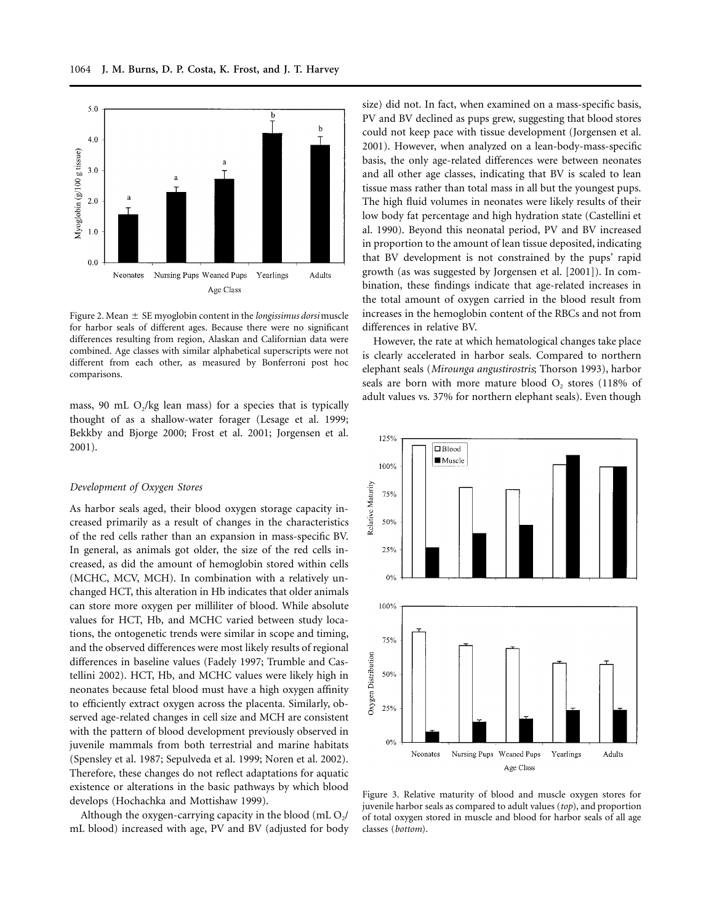

Figure 2. Mean  $\pm$  SE myoglobin content in the *longissimus dorsi* muscle for harbor seals of different ages. Because there were no significant differences resulting from region, Alaskan and Californian data were combined. Age classes with similar alphabetical superscripts were not different from each other, as measured by Bonferroni post hoc comparisons.

mass, 90 mL  $O_2$ /kg lean mass) for a species that is typically thought of as a shallow-water forager (Lesage et al. 1999; Bekkby and Bjorge 2000; Frost et al. 2001; Jorgensen et al. 2001).

# *Development of Oxygen Stores*

As harbor seals aged, their blood oxygen storage capacity increased primarily as a result of changes in the characteristics of the red cells rather than an expansion in mass-specific BV. In general, as animals got older, the size of the red cells increased, as did the amount of hemoglobin stored within cells (MCHC, MCV, MCH). In combination with a relatively unchanged HCT, this alteration in Hb indicates that older animals can store more oxygen per milliliter of blood. While absolute values for HCT, Hb, and MCHC varied between study locations, the ontogenetic trends were similar in scope and timing, and the observed differences were most likely results of regional differences in baseline values (Fadely 1997; Trumble and Castellini 2002). HCT, Hb, and MCHC values were likely high in neonates because fetal blood must have a high oxygen affinity to efficiently extract oxygen across the placenta. Similarly, observed age-related changes in cell size and MCH are consistent with the pattern of blood development previously observed in juvenile mammals from both terrestrial and marine habitats (Spensley et al. 1987; Sepulveda et al. 1999; Noren et al. 2002). Therefore, these changes do not reflect adaptations for aquatic existence or alterations in the basic pathways by which blood develops (Hochachka and Mottishaw 1999).

Although the oxygen-carrying capacity in the blood (mL  $O<sub>2</sub>/$ mL blood) increased with age, PV and BV (adjusted for body size) did not. In fact, when examined on a mass-specific basis, PV and BV declined as pups grew, suggesting that blood stores could not keep pace with tissue development (Jorgensen et al. 2001). However, when analyzed on a lean-body-mass-specific basis, the only age-related differences were between neonates and all other age classes, indicating that BV is scaled to lean tissue mass rather than total mass in all but the youngest pups. The high fluid volumes in neonates were likely results of their low body fat percentage and high hydration state (Castellini et al. 1990). Beyond this neonatal period, PV and BV increased in proportion to the amount of lean tissue deposited, indicating that BV development is not constrained by the pups' rapid growth (as was suggested by Jorgensen et al. [2001]). In combination, these findings indicate that age-related increases in the total amount of oxygen carried in the blood result from increases in the hemoglobin content of the RBCs and not from differences in relative BV.

However, the rate at which hematological changes take place is clearly accelerated in harbor seals. Compared to northern elephant seals (*Mirounga angustirostris*; Thorson 1993), harbor seals are born with more mature blood  $O<sub>2</sub>$  stores (118% of adult values vs. 37% for northern elephant seals). Even though



Figure 3. Relative maturity of blood and muscle oxygen stores for juvenile harbor seals as compared to adult values (*top*), and proportion of total oxygen stored in muscle and blood for harbor seals of all age classes (*bottom*).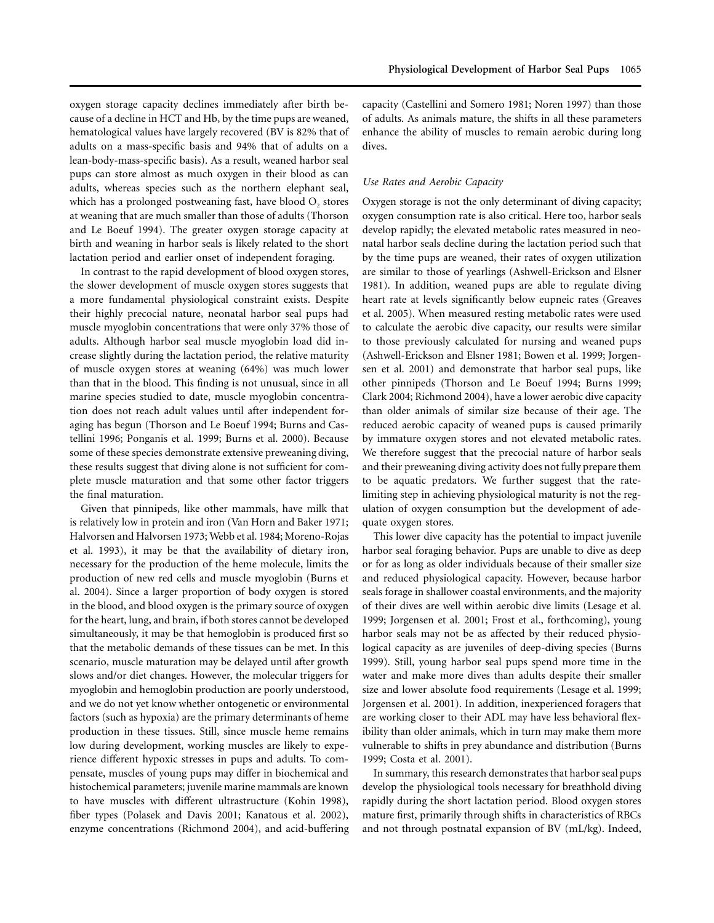oxygen storage capacity declines immediately after birth because of a decline in HCT and Hb, by the time pups are weaned, hematological values have largely recovered (BV is 82% that of adults on a mass-specific basis and 94% that of adults on a lean-body-mass-specific basis). As a result, weaned harbor seal pups can store almost as much oxygen in their blood as can adults, whereas species such as the northern elephant seal, which has a prolonged postweaning fast, have blood  $O_2$  stores at weaning that are much smaller than those of adults (Thorson and Le Boeuf 1994). The greater oxygen storage capacity at birth and weaning in harbor seals is likely related to the short lactation period and earlier onset of independent foraging.

In contrast to the rapid development of blood oxygen stores, the slower development of muscle oxygen stores suggests that a more fundamental physiological constraint exists. Despite their highly precocial nature, neonatal harbor seal pups had muscle myoglobin concentrations that were only 37% those of adults. Although harbor seal muscle myoglobin load did increase slightly during the lactation period, the relative maturity of muscle oxygen stores at weaning (64%) was much lower than that in the blood. This finding is not unusual, since in all marine species studied to date, muscle myoglobin concentration does not reach adult values until after independent foraging has begun (Thorson and Le Boeuf 1994; Burns and Castellini 1996; Ponganis et al. 1999; Burns et al. 2000). Because some of these species demonstrate extensive preweaning diving, these results suggest that diving alone is not sufficient for complete muscle maturation and that some other factor triggers the final maturation.

Given that pinnipeds, like other mammals, have milk that is relatively low in protein and iron (Van Horn and Baker 1971; Halvorsen and Halvorsen 1973; Webb et al. 1984; Moreno-Rojas et al. 1993), it may be that the availability of dietary iron, necessary for the production of the heme molecule, limits the production of new red cells and muscle myoglobin (Burns et al. 2004). Since a larger proportion of body oxygen is stored in the blood, and blood oxygen is the primary source of oxygen for the heart, lung, and brain, if both stores cannot be developed simultaneously, it may be that hemoglobin is produced first so that the metabolic demands of these tissues can be met. In this scenario, muscle maturation may be delayed until after growth slows and/or diet changes. However, the molecular triggers for myoglobin and hemoglobin production are poorly understood, and we do not yet know whether ontogenetic or environmental factors (such as hypoxia) are the primary determinants of heme production in these tissues. Still, since muscle heme remains low during development, working muscles are likely to experience different hypoxic stresses in pups and adults. To compensate, muscles of young pups may differ in biochemical and histochemical parameters; juvenile marine mammals are known to have muscles with different ultrastructure (Kohin 1998), fiber types (Polasek and Davis 2001; Kanatous et al. 2002), enzyme concentrations (Richmond 2004), and acid-buffering capacity (Castellini and Somero 1981; Noren 1997) than those of adults. As animals mature, the shifts in all these parameters enhance the ability of muscles to remain aerobic during long dives.

## *Use Rates and Aerobic Capacity*

Oxygen storage is not the only determinant of diving capacity; oxygen consumption rate is also critical. Here too, harbor seals develop rapidly; the elevated metabolic rates measured in neonatal harbor seals decline during the lactation period such that by the time pups are weaned, their rates of oxygen utilization are similar to those of yearlings (Ashwell-Erickson and Elsner 1981). In addition, weaned pups are able to regulate diving heart rate at levels significantly below eupneic rates (Greaves et al. 2005). When measured resting metabolic rates were used to calculate the aerobic dive capacity, our results were similar to those previously calculated for nursing and weaned pups (Ashwell-Erickson and Elsner 1981; Bowen et al. 1999; Jorgensen et al. 2001) and demonstrate that harbor seal pups, like other pinnipeds (Thorson and Le Boeuf 1994; Burns 1999; Clark 2004; Richmond 2004), have a lower aerobic dive capacity than older animals of similar size because of their age. The reduced aerobic capacity of weaned pups is caused primarily by immature oxygen stores and not elevated metabolic rates. We therefore suggest that the precocial nature of harbor seals and their preweaning diving activity does not fully prepare them to be aquatic predators. We further suggest that the ratelimiting step in achieving physiological maturity is not the regulation of oxygen consumption but the development of adequate oxygen stores.

This lower dive capacity has the potential to impact juvenile harbor seal foraging behavior. Pups are unable to dive as deep or for as long as older individuals because of their smaller size and reduced physiological capacity. However, because harbor seals forage in shallower coastal environments, and the majority of their dives are well within aerobic dive limits (Lesage et al. 1999; Jorgensen et al. 2001; Frost et al., forthcoming), young harbor seals may not be as affected by their reduced physiological capacity as are juveniles of deep-diving species (Burns 1999). Still, young harbor seal pups spend more time in the water and make more dives than adults despite their smaller size and lower absolute food requirements (Lesage et al. 1999; Jorgensen et al. 2001). In addition, inexperienced foragers that are working closer to their ADL may have less behavioral flexibility than older animals, which in turn may make them more vulnerable to shifts in prey abundance and distribution (Burns 1999; Costa et al. 2001).

In summary, this research demonstrates that harbor seal pups develop the physiological tools necessary for breathhold diving rapidly during the short lactation period. Blood oxygen stores mature first, primarily through shifts in characteristics of RBCs and not through postnatal expansion of BV (mL/kg). Indeed,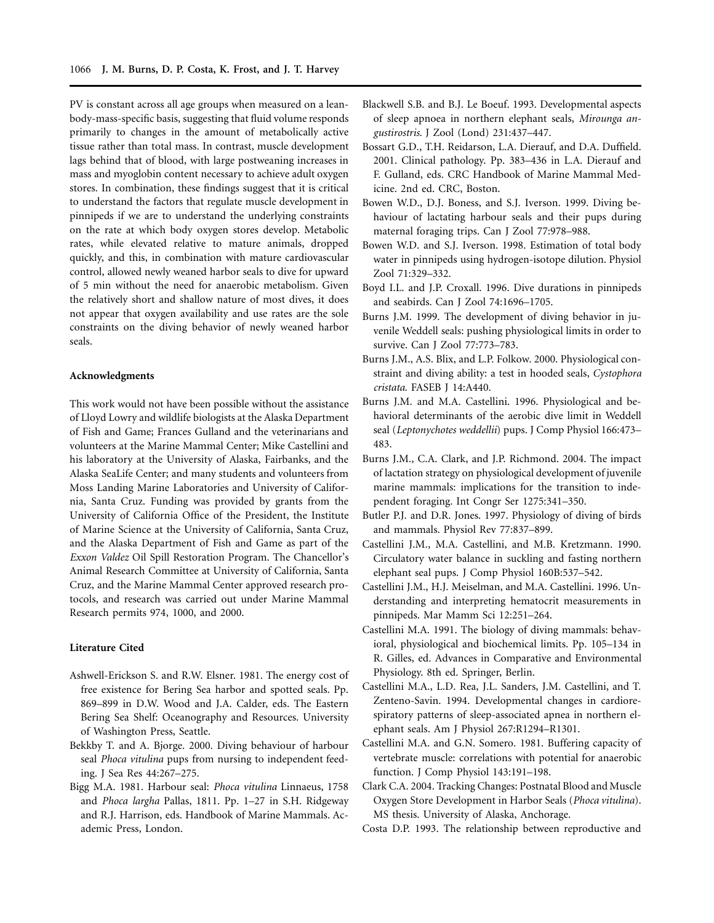PV is constant across all age groups when measured on a leanbody-mass-specific basis, suggesting that fluid volume responds primarily to changes in the amount of metabolically active tissue rather than total mass. In contrast, muscle development lags behind that of blood, with large postweaning increases in mass and myoglobin content necessary to achieve adult oxygen stores. In combination, these findings suggest that it is critical to understand the factors that regulate muscle development in pinnipeds if we are to understand the underlying constraints on the rate at which body oxygen stores develop. Metabolic rates, while elevated relative to mature animals, dropped quickly, and this, in combination with mature cardiovascular control, allowed newly weaned harbor seals to dive for upward of 5 min without the need for anaerobic metabolism. Given the relatively short and shallow nature of most dives, it does not appear that oxygen availability and use rates are the sole constraints on the diving behavior of newly weaned harbor seals.

## **Acknowledgments**

This work would not have been possible without the assistance of Lloyd Lowry and wildlife biologists at the Alaska Department of Fish and Game; Frances Gulland and the veterinarians and volunteers at the Marine Mammal Center; Mike Castellini and his laboratory at the University of Alaska, Fairbanks, and the Alaska SeaLife Center; and many students and volunteers from Moss Landing Marine Laboratories and University of California, Santa Cruz. Funding was provided by grants from the University of California Office of the President, the Institute of Marine Science at the University of California, Santa Cruz, and the Alaska Department of Fish and Game as part of the *Exxon Valdez* Oil Spill Restoration Program. The Chancellor's Animal Research Committee at University of California, Santa Cruz, and the Marine Mammal Center approved research protocols, and research was carried out under Marine Mammal Research permits 974, 1000, and 2000.

# **Literature Cited**

- Ashwell-Erickson S. and R.W. Elsner. 1981. The energy cost of free existence for Bering Sea harbor and spotted seals. Pp. 869–899 in D.W. Wood and J.A. Calder, eds. The Eastern Bering Sea Shelf: Oceanography and Resources. University of Washington Press, Seattle.
- Bekkby T. and A. Bjorge. 2000. Diving behaviour of harbour seal *Phoca vitulina* pups from nursing to independent feeding. J Sea Res 44:267–275.
- Bigg M.A. 1981. Harbour seal: *Phoca vitulina* Linnaeus, 1758 and *Phoca largha* Pallas, 1811. Pp. 1–27 in S.H. Ridgeway and R.J. Harrison, eds. Handbook of Marine Mammals. Academic Press, London.
- Blackwell S.B. and B.J. Le Boeuf. 1993. Developmental aspects of sleep apnoea in northern elephant seals, *Mirounga angustirostris*. J Zool (Lond) 231:437–447.
- Bossart G.D., T.H. Reidarson, L.A. Dierauf, and D.A. Duffield. 2001. Clinical pathology. Pp. 383–436 in L.A. Dierauf and F. Gulland, eds. CRC Handbook of Marine Mammal Medicine. 2nd ed. CRC, Boston.
- Bowen W.D., D.J. Boness, and S.J. Iverson. 1999. Diving behaviour of lactating harbour seals and their pups during maternal foraging trips. Can J Zool 77:978–988.
- Bowen W.D. and S.J. Iverson. 1998. Estimation of total body water in pinnipeds using hydrogen-isotope dilution. Physiol Zool 71:329–332.
- Boyd I.L. and J.P. Croxall. 1996. Dive durations in pinnipeds and seabirds. Can J Zool 74:1696–1705.
- Burns J.M. 1999. The development of diving behavior in juvenile Weddell seals: pushing physiological limits in order to survive. Can J Zool 77:773–783.
- Burns J.M., A.S. Blix, and L.P. Folkow. 2000. Physiological constraint and diving ability: a test in hooded seals, *Cystophora cristata*. FASEB J 14:A440.
- Burns J.M. and M.A. Castellini. 1996. Physiological and behavioral determinants of the aerobic dive limit in Weddell seal (*Leptonychotes weddellii*) pups. J Comp Physiol 166:473– 483.
- Burns J.M., C.A. Clark, and J.P. Richmond. 2004. The impact of lactation strategy on physiological development of juvenile marine mammals: implications for the transition to independent foraging. Int Congr Ser 1275:341–350.
- Butler P.J. and D.R. Jones. 1997. Physiology of diving of birds and mammals. Physiol Rev 77:837–899.
- Castellini J.M., M.A. Castellini, and M.B. Kretzmann. 1990. Circulatory water balance in suckling and fasting northern elephant seal pups. J Comp Physiol 160B:537–542.
- Castellini J.M., H.J. Meiselman, and M.A. Castellini. 1996. Understanding and interpreting hematocrit measurements in pinnipeds. Mar Mamm Sci 12:251–264.
- Castellini M.A. 1991. The biology of diving mammals: behavioral, physiological and biochemical limits. Pp. 105–134 in R. Gilles, ed. Advances in Comparative and Environmental Physiology. 8th ed. Springer, Berlin.
- Castellini M.A., L.D. Rea, J.L. Sanders, J.M. Castellini, and T. Zenteno-Savin. 1994. Developmental changes in cardiorespiratory patterns of sleep-associated apnea in northern elephant seals. Am J Physiol 267:R1294–R1301.
- Castellini M.A. and G.N. Somero. 1981. Buffering capacity of vertebrate muscle: correlations with potential for anaerobic function. J Comp Physiol 143:191–198.
- Clark C.A. 2004. Tracking Changes: Postnatal Blood and Muscle Oxygen Store Development in Harbor Seals (*Phoca vitulina*). MS thesis. University of Alaska, Anchorage.
- Costa D.P. 1993. The relationship between reproductive and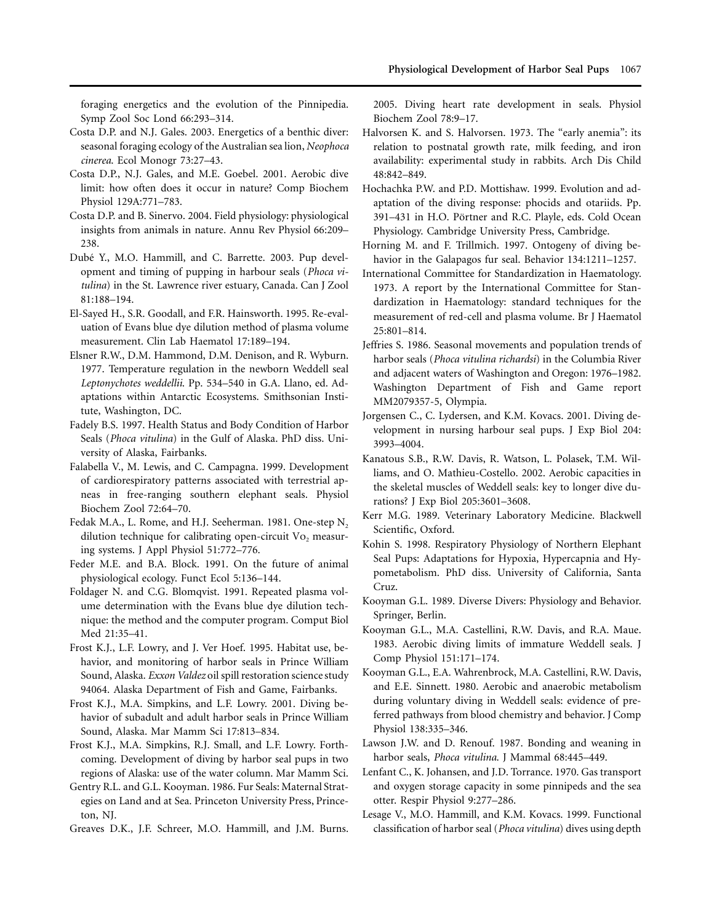foraging energetics and the evolution of the Pinnipedia. Symp Zool Soc Lond 66:293–314.

- Costa D.P. and N.J. Gales. 2003. Energetics of a benthic diver: seasonal foraging ecology of the Australian sea lion, *Neophoca cinerea*. Ecol Monogr 73:27–43.
- Costa D.P., N.J. Gales, and M.E. Goebel. 2001. Aerobic dive limit: how often does it occur in nature? Comp Biochem Physiol 129A:771–783.
- Costa D.P. and B. Sinervo. 2004. Field physiology: physiological insights from animals in nature. Annu Rev Physiol 66:209– 238.
- Dubé Y., M.O. Hammill, and C. Barrette. 2003. Pup development and timing of pupping in harbour seals (*Phoca vitulina*) in the St. Lawrence river estuary, Canada. Can J Zool 81:188–194.
- El-Sayed H., S.R. Goodall, and F.R. Hainsworth. 1995. Re-evaluation of Evans blue dye dilution method of plasma volume measurement. Clin Lab Haematol 17:189–194.
- Elsner R.W., D.M. Hammond, D.M. Denison, and R. Wyburn. 1977. Temperature regulation in the newborn Weddell seal *Leptonychotes weddellii*. Pp. 534–540 in G.A. Llano, ed. Adaptations within Antarctic Ecosystems. Smithsonian Institute, Washington, DC.
- Fadely B.S. 1997. Health Status and Body Condition of Harbor Seals (*Phoca vitulina*) in the Gulf of Alaska. PhD diss. University of Alaska, Fairbanks.
- Falabella V., M. Lewis, and C. Campagna. 1999. Development of cardiorespiratory patterns associated with terrestrial apneas in free-ranging southern elephant seals. Physiol Biochem Zool 72:64–70.
- Fedak M.A., L. Rome, and H.J. Seeherman. 1981. One-step N<sub>2</sub> dilution technique for calibrating open-circuit  $Vo_2$  measuring systems. J Appl Physiol 51:772–776.
- Feder M.E. and B.A. Block. 1991. On the future of animal physiological ecology. Funct Ecol 5:136–144.
- Foldager N. and C.G. Blomqvist. 1991. Repeated plasma volume determination with the Evans blue dye dilution technique: the method and the computer program. Comput Biol Med 21:35–41.
- Frost K.J., L.F. Lowry, and J. Ver Hoef. 1995. Habitat use, behavior, and monitoring of harbor seals in Prince William Sound, Alaska. *Exxon Valdez* oil spill restoration science study 94064. Alaska Department of Fish and Game, Fairbanks.
- Frost K.J., M.A. Simpkins, and L.F. Lowry. 2001. Diving behavior of subadult and adult harbor seals in Prince William Sound, Alaska. Mar Mamm Sci 17:813–834.
- Frost K.J., M.A. Simpkins, R.J. Small, and L.F. Lowry. Forthcoming. Development of diving by harbor seal pups in two regions of Alaska: use of the water column. Mar Mamm Sci.
- Gentry R.L. and G.L. Kooyman. 1986. Fur Seals: Maternal Strategies on Land and at Sea. Princeton University Press, Princeton, NJ.
- Greaves D.K., J.F. Schreer, M.O. Hammill, and J.M. Burns.

2005. Diving heart rate development in seals. Physiol Biochem Zool 78:9–17.

- Halvorsen K. and S. Halvorsen. 1973. The "early anemia": its relation to postnatal growth rate, milk feeding, and iron availability: experimental study in rabbits. Arch Dis Child 48:842–849.
- Hochachka P.W. and P.D. Mottishaw. 1999. Evolution and adaptation of the diving response: phocids and otariids. Pp. 391-431 in H.O. Pörtner and R.C. Playle, eds. Cold Ocean Physiology. Cambridge University Press, Cambridge.
- Horning M. and F. Trillmich. 1997. Ontogeny of diving behavior in the Galapagos fur seal. Behavior 134:1211–1257.
- International Committee for Standardization in Haematology. 1973. A report by the International Committee for Standardization in Haematology: standard techniques for the measurement of red-cell and plasma volume. Br J Haematol 25:801–814.
- Jeffries S. 1986. Seasonal movements and population trends of harbor seals (*Phoca vitulina richardsi*) in the Columbia River and adjacent waters of Washington and Oregon: 1976–1982. Washington Department of Fish and Game report MM2079357-5, Olympia.
- Jorgensen C., C. Lydersen, and K.M. Kovacs. 2001. Diving development in nursing harbour seal pups. J Exp Biol 204: 3993–4004.
- Kanatous S.B., R.W. Davis, R. Watson, L. Polasek, T.M. Williams, and O. Mathieu-Costello. 2002. Aerobic capacities in the skeletal muscles of Weddell seals: key to longer dive durations? J Exp Biol 205:3601–3608.
- Kerr M.G. 1989. Veterinary Laboratory Medicine. Blackwell Scientific, Oxford.
- Kohin S. 1998. Respiratory Physiology of Northern Elephant Seal Pups: Adaptations for Hypoxia, Hypercapnia and Hypometabolism. PhD diss. University of California, Santa Cruz.
- Kooyman G.L. 1989. Diverse Divers: Physiology and Behavior. Springer, Berlin.
- Kooyman G.L., M.A. Castellini, R.W. Davis, and R.A. Maue. 1983. Aerobic diving limits of immature Weddell seals. J Comp Physiol 151:171–174.
- Kooyman G.L., E.A. Wahrenbrock, M.A. Castellini, R.W. Davis, and E.E. Sinnett. 1980. Aerobic and anaerobic metabolism during voluntary diving in Weddell seals: evidence of preferred pathways from blood chemistry and behavior. J Comp Physiol 138:335–346.
- Lawson J.W. and D. Renouf. 1987. Bonding and weaning in harbor seals, *Phoca vitulina*. J Mammal 68:445–449.
- Lenfant C., K. Johansen, and J.D. Torrance. 1970. Gas transport and oxygen storage capacity in some pinnipeds and the sea otter. Respir Physiol 9:277–286.
- Lesage V., M.O. Hammill, and K.M. Kovacs. 1999. Functional classification of harbor seal (*Phoca vitulina*) dives using depth